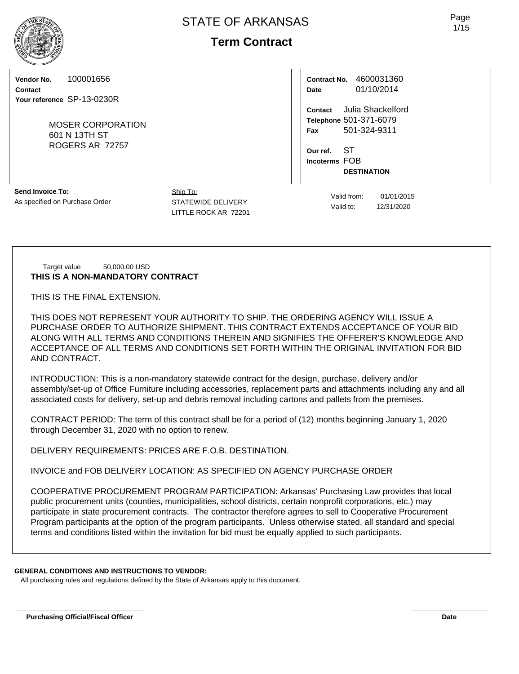# **Term Contract**

**Vendor No.** 100001656

**Contact Your reference** SP-13-0230R

> MOSER CORPORATION 601 N 13TH ST ROGERS AR 72757

| Contract No. | 4600031360 |  |  |  |  |
|--------------|------------|--|--|--|--|
| Date         | 01/10/2014 |  |  |  |  |

**Contact** Julia Shackelford **Telephone** 501-371-6079 **Fax** 501-324-9311

**Our ref.** ST **Incoterms** FOB **DESTINATION**

**Send Invoice To:** As specified on Purchase Order

Ship To: STATEWIDE DELIVERY LITTLE ROCK AR 72201

Valid from: 01/01/2015 Valid to: 12/31/2020

#### Target value 50,000.00 USD **THIS IS A NON-MANDATORY CONTRACT**

THIS IS THE FINAL EXTENSION.

THIS DOES NOT REPRESENT YOUR AUTHORITY TO SHIP. THE ORDERING AGENCY WILL ISSUE A PURCHASE ORDER TO AUTHORIZE SHIPMENT. THIS CONTRACT EXTENDS ACCEPTANCE OF YOUR BID ALONG WITH ALL TERMS AND CONDITIONS THEREIN AND SIGNIFIES THE OFFERER'S KNOWLEDGE AND ACCEPTANCE OF ALL TERMS AND CONDITIONS SET FORTH WITHIN THE ORIGINAL INVITATION FOR BID AND CONTRACT.

INTRODUCTION: This is a non-mandatory statewide contract for the design, purchase, delivery and/or assembly/set-up of Office Furniture including accessories, replacement parts and attachments including any and all associated costs for delivery, set-up and debris removal including cartons and pallets from the premises.

CONTRACT PERIOD: The term of this contract shall be for a period of (12) months beginning January 1, 2020 through December 31, 2020 with no option to renew.

DELIVERY REQUIREMENTS: PRICES ARE F.O.B. DESTINATION.

INVOICE and FOB DELIVERY LOCATION: AS SPECIFIED ON AGENCY PURCHASE ORDER

COOPERATIVE PROCUREMENT PROGRAM PARTICIPATION: Arkansas' Purchasing Law provides that local public procurement units (counties, municipalities, school districts, certain nonprofit corporations, etc.) may participate in state procurement contracts. The contractor therefore agrees to sell to Cooperative Procurement Program participants at the option of the program participants. Unless otherwise stated, all standard and special terms and conditions listed within the invitation for bid must be equally applied to such participants.

**\_\_\_\_\_\_\_\_\_\_\_\_\_\_\_\_\_\_\_\_\_\_\_\_\_\_\_\_\_\_\_\_\_\_ \_\_\_\_\_\_\_\_\_\_\_\_\_\_\_\_\_\_\_\_**

#### **GENERAL CONDITIONS AND INSTRUCTIONS TO VENDOR:**

All purchasing rules and regulations defined by the State of Arkansas apply to this document.

Page 1/15

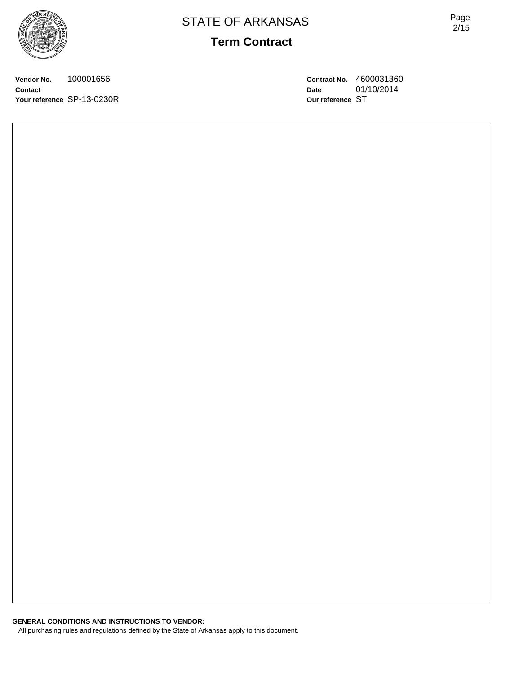

Page 2/15

**Vendor No.** 100001656 **Contact Your reference** SP-13-0230R **Contract No.** 4600031360 **Date** 01/10/2014 **Our reference** ST

**GENERAL CONDITIONS AND INSTRUCTIONS TO VENDOR:** All purchasing rules and regulations defined by the State of Arkansas apply to this document.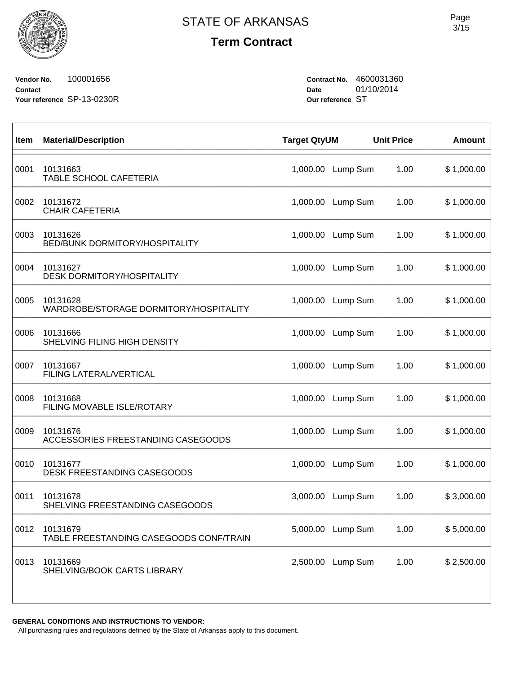$\sqrt{ }$ 

**Term Contract**

**Vendor No.** 100001656 **Contact Your reference** SP-13-0230R **Contract No.** 4600031360 **Date** 01/10/2014 **Our reference** ST

| Item | <b>Material/Description</b>                         | <b>Target QtyUM</b> |                   | <b>Unit Price</b> | <b>Amount</b> |
|------|-----------------------------------------------------|---------------------|-------------------|-------------------|---------------|
| 0001 | 10131663<br>TABLE SCHOOL CAFETERIA                  | 1,000.00            | Lump Sum          | 1.00              | \$1,000.00    |
| 0002 | 10131672<br><b>CHAIR CAFETERIA</b>                  | 1,000.00            | Lump Sum          | 1.00              | \$1,000.00    |
| 0003 | 10131626<br><b>BED/BUNK DORMITORY/HOSPITALITY</b>   | 1,000.00            | Lump Sum          | 1.00              | \$1,000.00    |
| 0004 | 10131627<br><b>DESK DORMITORY/HOSPITALITY</b>       | 1,000.00            | Lump Sum          | 1.00              | \$1,000.00    |
| 0005 | 10131628<br>WARDROBE/STORAGE DORMITORY/HOSPITALITY  | 1,000.00            | Lump Sum          | 1.00              | \$1,000.00    |
| 0006 | 10131666<br>SHELVING FILING HIGH DENSITY            | 1,000.00            | Lump Sum          | 1.00              | \$1,000.00    |
| 0007 | 10131667<br>FILING LATERAL/VERTICAL                 | 1,000.00            | Lump Sum          | 1.00              | \$1,000.00    |
| 0008 | 10131668<br>FILING MOVABLE ISLE/ROTARY              | 1,000.00            | Lump Sum          | 1.00              | \$1,000.00    |
| 0009 | 10131676<br>ACCESSORIES FREESTANDING CASEGOODS      | 1,000.00            | Lump Sum          | 1.00              | \$1,000.00    |
| 0010 | 10131677<br>DESK FREESTANDING CASEGOODS             | 1,000.00            | Lump Sum          | 1.00              | \$1,000.00    |
| 0011 | 10131678<br>SHELVING FREESTANDING CASEGOODS         | 3,000.00            | Lump Sum          | 1.00              | \$3,000.00    |
| 0012 | 10131679<br>TABLE FREESTANDING CASEGOODS CONF/TRAIN |                     | 5,000.00 Lump Sum | 1.00              | \$5,000.00    |
| 0013 | 10131669<br>SHELVING/BOOK CARTS LIBRARY             |                     | 2,500.00 Lump Sum | 1.00              | \$2,500.00    |
|      |                                                     |                     |                   |                   |               |

**GENERAL CONDITIONS AND INSTRUCTIONS TO VENDOR:**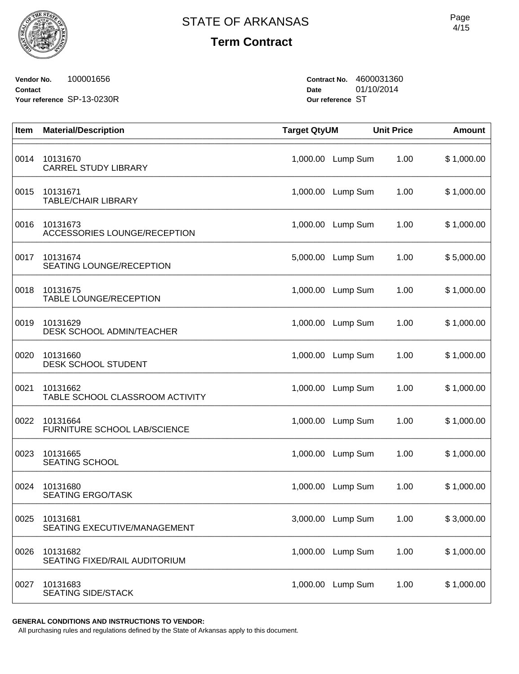**Vendor No.** 100001656 **Contact Your reference** SP-13-0230R **Contract No.** 4600031360 **Date** 01/10/2014 **Our reference** ST

| Item | <b>Material/Description</b>                     | <b>Target QtyUM</b> |                   | <b>Unit Price</b> | <b>Amount</b> |
|------|-------------------------------------------------|---------------------|-------------------|-------------------|---------------|
| 0014 | 10131670<br><b>CARREL STUDY LIBRARY</b>         | 1,000.00            | Lump Sum          | 1.00              | \$1,000.00    |
| 0015 | 10131671<br><b>TABLE/CHAIR LIBRARY</b>          |                     | 1,000.00 Lump Sum | 1.00              | \$1,000.00    |
| 0016 | 10131673<br><b>ACCESSORIES LOUNGE/RECEPTION</b> | 1,000.00            | Lump Sum          | 1.00              | \$1,000.00    |
| 0017 | 10131674<br>SEATING LOUNGE/RECEPTION            | 5,000.00            | Lump Sum          | 1.00              | \$5,000.00    |
| 0018 | 10131675<br><b>TABLE LOUNGE/RECEPTION</b>       | 1,000.00            | Lump Sum          | 1.00              | \$1,000.00    |
| 0019 | 10131629<br><b>DESK SCHOOL ADMIN/TEACHER</b>    |                     | 1,000.00 Lump Sum | 1.00              | \$1,000.00    |
| 0020 | 10131660<br><b>DESK SCHOOL STUDENT</b>          | 1,000.00            | Lump Sum          | 1.00              | \$1,000.00    |
| 0021 | 10131662<br>TABLE SCHOOL CLASSROOM ACTIVITY     | 1,000.00            | Lump Sum          | 1.00              | \$1,000.00    |
| 0022 | 10131664<br>FURNITURE SCHOOL LAB/SCIENCE        | 1,000.00            | Lump Sum          | 1.00              | \$1,000.00    |
| 0023 | 10131665<br><b>SEATING SCHOOL</b>               | 1,000.00            | Lump Sum          | 1.00              | \$1,000.00    |
| 0024 | 10131680<br><b>SEATING ERGO/TASK</b>            | 1,000.00            | Lump Sum          | 1.00              | \$1,000.00    |
| 0025 | 10131681<br>SEATING EXECUTIVE/MANAGEMENT        |                     | 3,000.00 Lump Sum | 1.00              | \$3,000.00    |
| 0026 | 10131682<br>SEATING FIXED/RAIL AUDITORIUM       | 1,000.00            | Lump Sum          | 1.00              | \$1,000.00    |
| 0027 | 10131683<br><b>SEATING SIDE/STACK</b>           | 1,000.00            | Lump Sum          | 1.00              | \$1,000.00    |

**GENERAL CONDITIONS AND INSTRUCTIONS TO VENDOR:**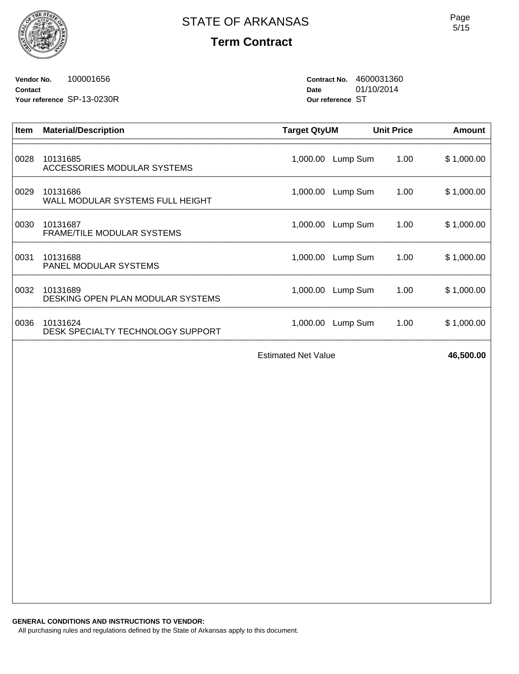**Vendor No.** 100001656 **Contact Your reference** SP-13-0230R **Contract No.** 4600031360 **Date** 01/10/2014 **Our reference** ST

| <b>Item</b> | <b>Material/Description</b>                   | <b>Target QtyUM</b> |          | <b>Unit Price</b> | Amount     |
|-------------|-----------------------------------------------|---------------------|----------|-------------------|------------|
| 0028        | 10131685<br>ACCESSORIES MODULAR SYSTEMS       | 1,000.00            | Lump Sum | 1.00              | \$1,000.00 |
| 0029        | 10131686<br>WALL MODULAR SYSTEMS FULL HEIGHT  | 1,000.00            | Lump Sum | 1.00              | \$1,000.00 |
| 0030        | 10131687<br><b>FRAME/TILE MODULAR SYSTEMS</b> | 1,000.00            | Lump Sum | 1.00              | \$1,000.00 |
| 0031        | 10131688<br>PANEL MODULAR SYSTEMS             | 1,000.00            | Lump Sum | 1.00              | \$1,000.00 |
| 0032        | 10131689<br>DESKING OPEN PLAN MODULAR SYSTEMS | 1,000.00            | Lump Sum | 1.00              | \$1,000.00 |
| 0036        | 10131624<br>DESK SPECIALTY TECHNOLOGY SUPPORT | 1,000.00            | Lump Sum | 1.00              | \$1,000.00 |
|             |                                               |                     |          |                   |            |

Estimated Net Value **46,500.00**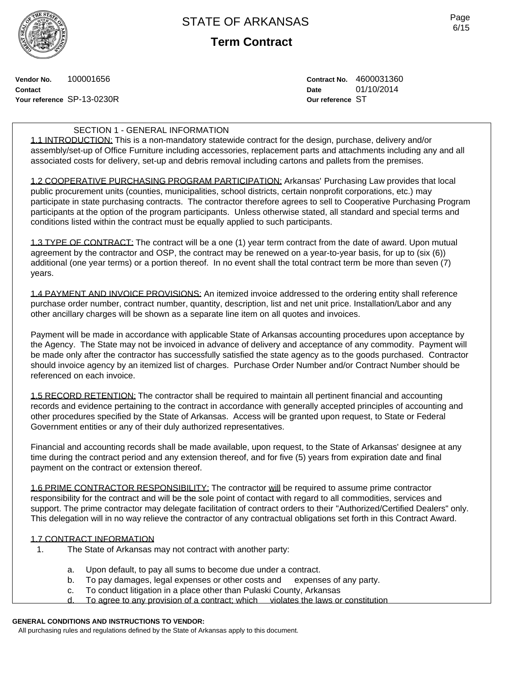

**Term Contract**

**Vendor No.** 100001656 **Contact Your reference** SP-13-0230R **Contract No.** 4600031360 **Date** 01/10/2014 **Our reference** ST

### SECTION 1 - GENERAL INFORMATION

1.1 INTRODUCTION: This is a non-mandatory statewide contract for the design, purchase, delivery and/or assembly/set-up of Office Furniture including accessories, replacement parts and attachments including any and all associated costs for delivery, set-up and debris removal including cartons and pallets from the premises.

1.2 COOPERATIVE PURCHASING PROGRAM PARTICIPATION: Arkansas' Purchasing Law provides that local public procurement units (counties, municipalities, school districts, certain nonprofit corporations, etc.) may participate in state purchasing contracts. The contractor therefore agrees to sell to Cooperative Purchasing Program participants at the option of the program participants. Unless otherwise stated, all standard and special terms and conditions listed within the contract must be equally applied to such participants.

1.3 TYPE OF CONTRACT: The contract will be a one (1) year term contract from the date of award. Upon mutual agreement by the contractor and OSP, the contract may be renewed on a year-to-year basis, for up to (six (6)) additional (one year terms) or a portion thereof. In no event shall the total contract term be more than seven (7) years.

1.4 PAYMENT AND INVOICE PROVISIONS: An itemized invoice addressed to the ordering entity shall reference purchase order number, contract number, quantity, description, list and net unit price. Installation/Labor and any other ancillary charges will be shown as a separate line item on all quotes and invoices.

Payment will be made in accordance with applicable State of Arkansas accounting procedures upon acceptance by the Agency. The State may not be invoiced in advance of delivery and acceptance of any commodity. Payment will be made only after the contractor has successfully satisfied the state agency as to the goods purchased. Contractor should invoice agency by an itemized list of charges. Purchase Order Number and/or Contract Number should be referenced on each invoice.

1.5 RECORD RETENTION: The contractor shall be required to maintain all pertinent financial and accounting records and evidence pertaining to the contract in accordance with generally accepted principles of accounting and other procedures specified by the State of Arkansas. Access will be granted upon request, to State or Federal Government entities or any of their duly authorized representatives.

Financial and accounting records shall be made available, upon request, to the State of Arkansas' designee at any time during the contract period and any extension thereof, and for five (5) years from expiration date and final payment on the contract or extension thereof.

1.6 PRIME CONTRACTOR RESPONSIBILITY: The contractor will be required to assume prime contractor responsibility for the contract and will be the sole point of contact with regard to all commodities, services and support. The prime contractor may delegate facilitation of contract orders to their "Authorized/Certified Dealers" only. This delegation will in no way relieve the contractor of any contractual obligations set forth in this Contract Award.

#### 1.7 CONTRACT INFORMATION

- 1. The State of Arkansas may not contract with another party:
	- a. Upon default, to pay all sums to become due under a contract.
	- b. To pay damages, legal expenses or other costs and expenses of any party.
	- c. To conduct litigation in a place other than Pulaski County, Arkansas
	- d. To agree to any provision of a contract; which violates the laws or constitution

### **GENERAL CONDITIONS AND INSTRUCTIONS TO VENDOR:**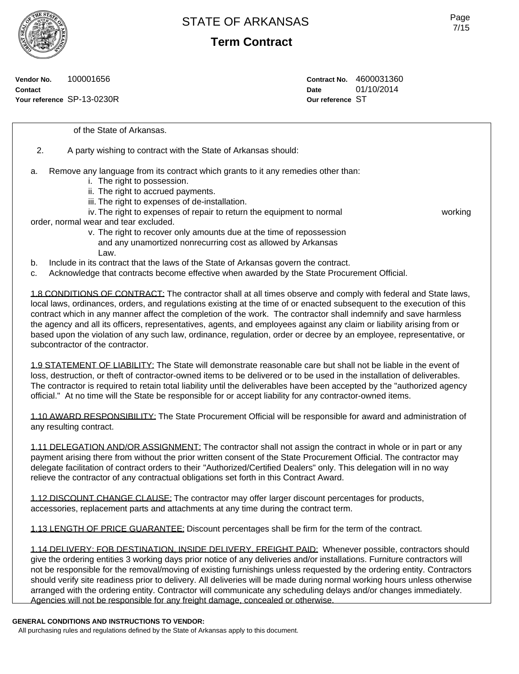**Term Contract**

**Vendor No.** 100001656 **Contact Your reference** SP-13-0230R **Contract No.** 4600031360 **Date** 01/10/2014 **Our reference** ST

of the State of Arkansas.

- 2. A party wishing to contract with the State of Arkansas should:
- a. Remove any language from its contract which grants to it any remedies other than:
	- i. The right to possession.
	- ii. The right to accrued payments.
	- iii. The right to expenses of de-installation.
	- iv. The right to expenses of repair to return the equipment to normal working

order, normal wear and tear excluded.

- v. The right to recover only amounts due at the time of repossession and any unamortized nonrecurring cost as allowed by Arkansas Law.
- b. Include in its contract that the laws of the State of Arkansas govern the contract.
- c. Acknowledge that contracts become effective when awarded by the State Procurement Official.

1.8 CONDITIONS OF CONTRACT: The contractor shall at all times observe and comply with federal and State laws, local laws, ordinances, orders, and regulations existing at the time of or enacted subsequent to the execution of this contract which in any manner affect the completion of the work. The contractor shall indemnify and save harmless the agency and all its officers, representatives, agents, and employees against any claim or liability arising from or based upon the violation of any such law, ordinance, regulation, order or decree by an employee, representative, or subcontractor of the contractor.

1.9 STATEMENT OF LIABILITY: The State will demonstrate reasonable care but shall not be liable in the event of loss, destruction, or theft of contractor-owned items to be delivered or to be used in the installation of deliverables. The contractor is required to retain total liability until the deliverables have been accepted by the "authorized agency official." At no time will the State be responsible for or accept liability for any contractor-owned items.

1.10 AWARD RESPONSIBILITY: The State Procurement Official will be responsible for award and administration of any resulting contract.

1.11 DELEGATION AND/OR ASSIGNMENT: The contractor shall not assign the contract in whole or in part or any payment arising there from without the prior written consent of the State Procurement Official. The contractor may delegate facilitation of contract orders to their "Authorized/Certified Dealers" only. This delegation will in no way relieve the contractor of any contractual obligations set forth in this Contract Award.

1.12 DISCOUNT CHANGE CLAUSE: The contractor may offer larger discount percentages for products, accessories, replacement parts and attachments at any time during the contract term.

1.13 LENGTH OF PRICE GUARANTEE: Discount percentages shall be firm for the term of the contract.

1.14 DELIVERY: FOB DESTINATION, INSIDE DELIVERY, FREIGHT PAID: Whenever possible, contractors should give the ordering entities 3 working days prior notice of any deliveries and/or installations. Furniture contractors will not be responsible for the removal/moving of existing furnishings unless requested by the ordering entity. Contractors should verify site readiness prior to delivery. All deliveries will be made during normal working hours unless otherwise arranged with the ordering entity. Contractor will communicate any scheduling delays and/or changes immediately. Agencies will not be responsible for any freight damage, concealed or otherwise.

#### **GENERAL CONDITIONS AND INSTRUCTIONS TO VENDOR:**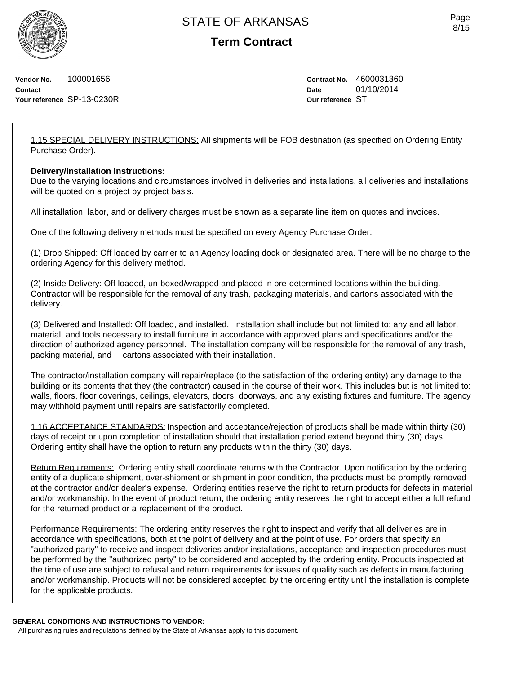**Term Contract**

**Vendor No.** 100001656 **Contact Your reference** SP-13-0230R **Contract No.** 4600031360 **Date** 01/10/2014 **Our reference** ST

1.15 SPECIAL DELIVERY INSTRUCTIONS: All shipments will be FOB destination (as specified on Ordering Entity Purchase Order).

### **Delivery/Installation Instructions:**

Due to the varying locations and circumstances involved in deliveries and installations, all deliveries and installations will be quoted on a project by project basis.

All installation, labor, and or delivery charges must be shown as a separate line item on quotes and invoices.

One of the following delivery methods must be specified on every Agency Purchase Order:

(1) Drop Shipped: Off loaded by carrier to an Agency loading dock or designated area. There will be no charge to the ordering Agency for this delivery method.

(2) Inside Delivery: Off loaded, un-boxed/wrapped and placed in pre-determined locations within the building. Contractor will be responsible for the removal of any trash, packaging materials, and cartons associated with the delivery.

(3) Delivered and Installed: Off loaded, and installed. Installation shall include but not limited to; any and all labor, material, and tools necessary to install furniture in accordance with approved plans and specifications and/or the direction of authorized agency personnel. The installation company will be responsible for the removal of any trash, packing material, and cartons associated with their installation.

The contractor/installation company will repair/replace (to the satisfaction of the ordering entity) any damage to the building or its contents that they (the contractor) caused in the course of their work. This includes but is not limited to: walls, floors, floor coverings, ceilings, elevators, doors, doorways, and any existing fixtures and furniture. The agency may withhold payment until repairs are satisfactorily completed.

1.16 ACCEPTANCE STANDARDS: Inspection and acceptance/rejection of products shall be made within thirty (30) days of receipt or upon completion of installation should that installation period extend beyond thirty (30) days. Ordering entity shall have the option to return any products within the thirty (30) days.

Return Requirements: Ordering entity shall coordinate returns with the Contractor. Upon notification by the ordering entity of a duplicate shipment, over-shipment or shipment in poor condition, the products must be promptly removed at the contractor and/or dealer's expense. Ordering entities reserve the right to return products for defects in material and/or workmanship. In the event of product return, the ordering entity reserves the right to accept either a full refund for the returned product or a replacement of the product.

Performance Requirements: The ordering entity reserves the right to inspect and verify that all deliveries are in accordance with specifications, both at the point of delivery and at the point of use. For orders that specify an "authorized party" to receive and inspect deliveries and/or installations, acceptance and inspection procedures must be performed by the "authorized party" to be considered and accepted by the ordering entity. Products inspected at the time of use are subject to refusal and return requirements for issues of quality such as defects in manufacturing and/or workmanship. Products will not be considered accepted by the ordering entity until the installation is complete for the applicable products.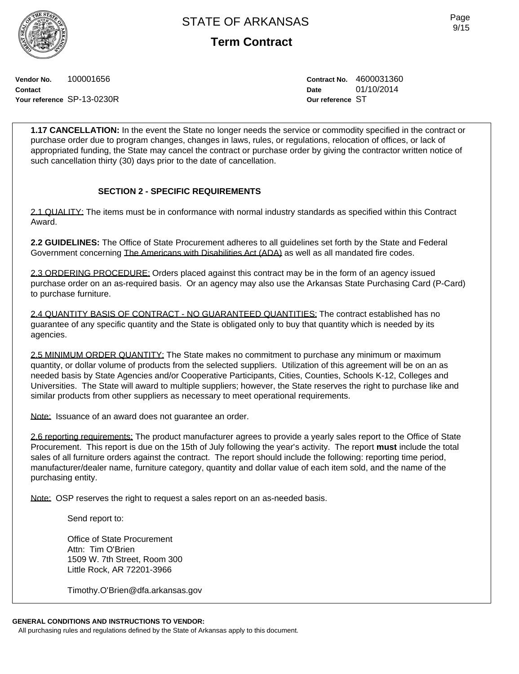**Term Contract**

**Vendor No.** 100001656 **Contact Your reference** SP-13-0230R **Contract No.** 4600031360 **Date** 01/10/2014 **Our reference** ST

**1.17 CANCELLATION:** In the event the State no longer needs the service or commodity specified in the contract or purchase order due to program changes, changes in laws, rules, or regulations, relocation of offices, or lack of appropriated funding, the State may cancel the contract or purchase order by giving the contractor written notice of such cancellation thirty (30) days prior to the date of cancellation.

## **SECTION 2 - SPECIFIC REQUIREMENTS**

2.1 QUALITY: The items must be in conformance with normal industry standards as specified within this Contract Award.

**2.2 GUIDELINES:** The Office of State Procurement adheres to all guidelines set forth by the State and Federal Government concerning The Americans with Disabilities Act (ADA) as well as all mandated fire codes.

2.3 ORDERING PROCEDURE: Orders placed against this contract may be in the form of an agency issued purchase order on an as-required basis. Or an agency may also use the Arkansas State Purchasing Card (P-Card) to purchase furniture.

2.4 QUANTITY BASIS OF CONTRACT - NO GUARANTEED QUANTITIES: The contract established has no guarantee of any specific quantity and the State is obligated only to buy that quantity which is needed by its agencies.

2.5 MINIMUM ORDER QUANTITY: The State makes no commitment to purchase any minimum or maximum quantity, or dollar volume of products from the selected suppliers. Utilization of this agreement will be on an as needed basis by State Agencies and/or Cooperative Participants, Cities, Counties, Schools K-12, Colleges and Universities. The State will award to multiple suppliers; however, the State reserves the right to purchase like and similar products from other suppliers as necessary to meet operational requirements.

Note: Issuance of an award does not guarantee an order.

2.6 reporting requirements: The product manufacturer agrees to provide a yearly sales report to the Office of State Procurement. This report is due on the 15th of July following the year's activity. The report **must** include the total sales of all furniture orders against the contract. The report should include the following: reporting time period, manufacturer/dealer name, furniture category, quantity and dollar value of each item sold, and the name of the purchasing entity.

Note: OSP reserves the right to request a sales report on an as-needed basis.

Send report to:

Office of State Procurement Attn: Tim O'Brien 1509 W. 7th Street, Room 300 Little Rock, AR 72201-3966

Timothy.O'Brien@dfa.arkansas.gov

#### **GENERAL CONDITIONS AND INSTRUCTIONS TO VENDOR:**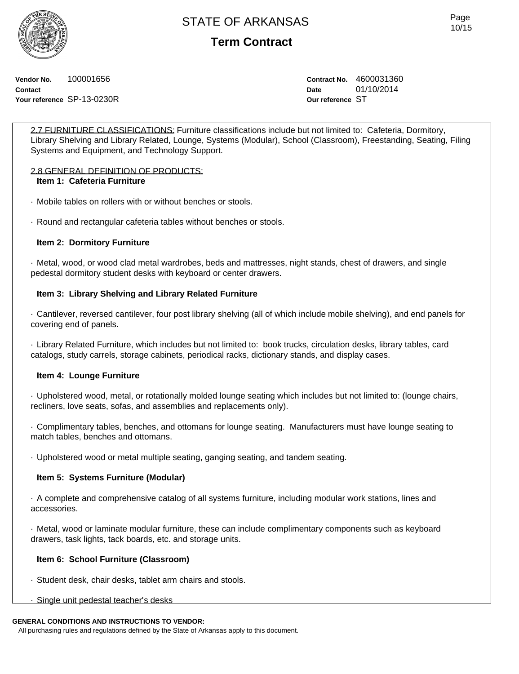**Term Contract**

**Vendor No.** 100001656 **Contact Your reference** SP-13-0230R **Contract No.** 4600031360 **Date** 01/10/2014 **Our reference** ST

2.7 FURNITURE CLASSIFICATIONS: Furniture classifications include but not limited to: Cafeteria, Dormitory, Library Shelving and Library Related, Lounge, Systems (Modular), School (Classroom), Freestanding, Seating, Filing Systems and Equipment, and Technology Support.

### 2.8 GENERAL DEFINITION OF PRODUCTS:

### **Item 1: Cafeteria Furniture**

· Mobile tables on rollers with or without benches or stools.

· Round and rectangular cafeteria tables without benches or stools.

### **Item 2: Dormitory Furniture**

· Metal, wood, or wood clad metal wardrobes, beds and mattresses, night stands, chest of drawers, and single pedestal dormitory student desks with keyboard or center drawers.

### **Item 3: Library Shelving and Library Related Furniture**

· Cantilever, reversed cantilever, four post library shelving (all of which include mobile shelving), and end panels for covering end of panels.

· Library Related Furniture, which includes but not limited to: book trucks, circulation desks, library tables, card catalogs, study carrels, storage cabinets, periodical racks, dictionary stands, and display cases.

### **Item 4: Lounge Furniture**

· Upholstered wood, metal, or rotationally molded lounge seating which includes but not limited to: (lounge chairs, recliners, love seats, sofas, and assemblies and replacements only).

· Complimentary tables, benches, and ottomans for lounge seating. Manufacturers must have lounge seating to match tables, benches and ottomans.

· Upholstered wood or metal multiple seating, ganging seating, and tandem seating.

### **Item 5: Systems Furniture (Modular)**

· A complete and comprehensive catalog of all systems furniture, including modular work stations, lines and accessories.

· Metal, wood or laminate modular furniture, these can include complimentary components such as keyboard drawers, task lights, tack boards, etc. and storage units.

### **Item 6: School Furniture (Classroom)**

- · Student desk, chair desks, tablet arm chairs and stools.
- · Single unit pedestal teacher's desks

#### **GENERAL CONDITIONS AND INSTRUCTIONS TO VENDOR:**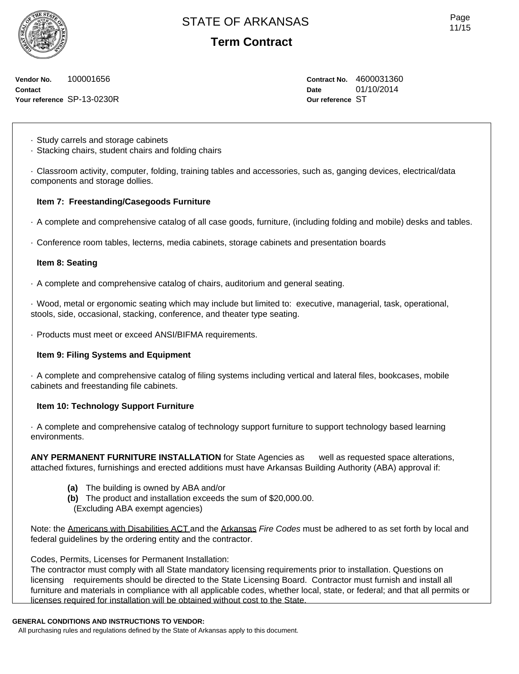**Term Contract**

**Vendor No.** 100001656 **Contact Your reference** SP-13-0230R **Contract No.** 4600031360 **Date** 01/10/2014 **Our reference** ST

· Study carrels and storage cabinets

· Stacking chairs, student chairs and folding chairs

· Classroom activity, computer, folding, training tables and accessories, such as, ganging devices, electrical/data components and storage dollies.

### **Item 7: Freestanding/Casegoods Furniture**

· A complete and comprehensive catalog of all case goods, furniture, (including folding and mobile) desks and tables.

· Conference room tables, lecterns, media cabinets, storage cabinets and presentation boards

#### **Item 8: Seating**

· A complete and comprehensive catalog of chairs, auditorium and general seating.

· Wood, metal or ergonomic seating which may include but limited to: executive, managerial, task, operational, stools, side, occasional, stacking, conference, and theater type seating.

· Products must meet or exceed ANSI/BIFMA requirements.

### **Item 9: Filing Systems and Equipment**

· A complete and comprehensive catalog of filing systems including vertical and lateral files, bookcases, mobile cabinets and freestanding file cabinets.

### **Item 10: Technology Support Furniture**

· A complete and comprehensive catalog of technology support furniture to support technology based learning environments.

**ANY PERMANENT FURNITURE INSTALLATION** for State Agencies as well as requested space alterations, attached fixtures, furnishings and erected additions must have Arkansas Building Authority (ABA) approval if:

- **(a)** The building is owned by ABA and/or
- **(b)** The product and installation exceeds the sum of \$20,000.00.
- (Excluding ABA exempt agencies)

Note: the Americans with Disabilities ACT and the Arkansas *Fire Codes* must be adhered to as set forth by local and federal guidelines by the ordering entity and the contractor.

Codes, Permits, Licenses for Permanent Installation:

The contractor must comply with all State mandatory licensing requirements prior to installation. Questions on licensing requirements should be directed to the State Licensing Board. Contractor must furnish and install all furniture and materials in compliance with all applicable codes, whether local, state, or federal; and that all permits or licenses required for installation will be obtained without cost to the State.

#### **GENERAL CONDITIONS AND INSTRUCTIONS TO VENDOR:**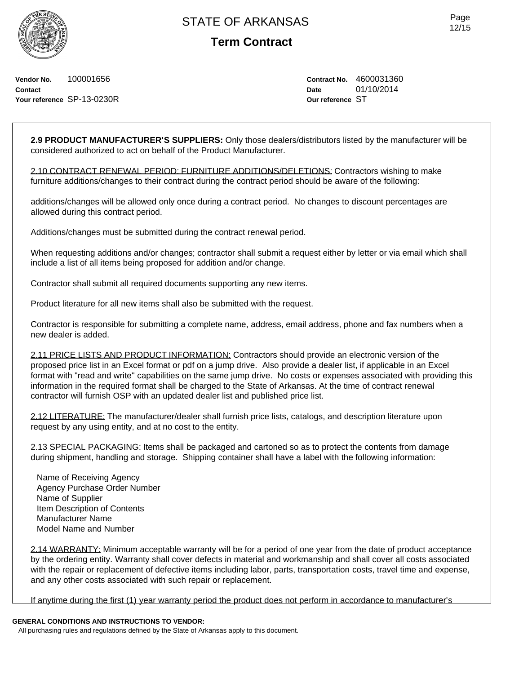**Vendor No.** 100001656 **Contact Your reference** SP-13-0230R **Contract No.** 4600031360 **Date** 01/10/2014 **Our reference** ST

**2.9 PRODUCT MANUFACTURER'S SUPPLIERS:** Only those dealers/distributors listed by the manufacturer will be considered authorized to act on behalf of the Product Manufacturer.

2.10 CONTRACT RENEWAL PERIOD: FURNITURE ADDITIONS/DELETIONS: Contractors wishing to make furniture additions/changes to their contract during the contract period should be aware of the following:

additions/changes will be allowed only once during a contract period. No changes to discount percentages are allowed during this contract period.

Additions/changes must be submitted during the contract renewal period.

When requesting additions and/or changes; contractor shall submit a request either by letter or via email which shall include a list of all items being proposed for addition and/or change.

Contractor shall submit all required documents supporting any new items.

Product literature for all new items shall also be submitted with the request.

Contractor is responsible for submitting a complete name, address, email address, phone and fax numbers when a new dealer is added.

2.11 PRICE LISTS AND PRODUCT INFORMATION: Contractors should provide an electronic version of the proposed price list in an Excel format or pdf on a jump drive. Also provide a dealer list, if applicable in an Excel format with "read and write" capabilities on the same jump drive. No costs or expenses associated with providing this information in the required format shall be charged to the State of Arkansas. At the time of contract renewal contractor will furnish OSP with an updated dealer list and published price list.

2.12 LITERATURE: The manufacturer/dealer shall furnish price lists, catalogs, and description literature upon request by any using entity, and at no cost to the entity.

2.13 SPECIAL PACKAGING: Items shall be packaged and cartoned so as to protect the contents from damage during shipment, handling and storage. Shipping container shall have a label with the following information:

Name of Receiving Agency Agency Purchase Order Number Name of Supplier Item Description of Contents Manufacturer Name Model Name and Number

2.14 WARRANTY: Minimum acceptable warranty will be for a period of one year from the date of product acceptance by the ordering entity. Warranty shall cover defects in material and workmanship and shall cover all costs associated with the repair or replacement of defective items including labor, parts, transportation costs, travel time and expense, and any other costs associated with such repair or replacement.

If anytime during the first (1) year warranty period the product does not perform in accordance to manufacturer's

### **GENERAL CONDITIONS AND INSTRUCTIONS TO VENDOR:**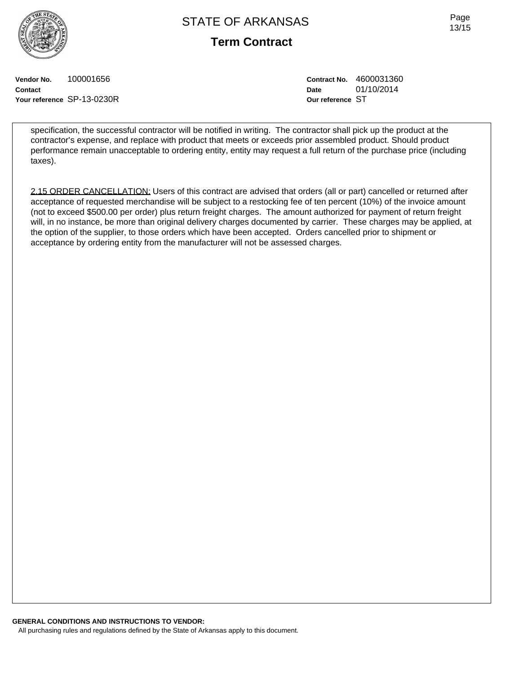**Term Contract**

Page 13/15

**Vendor No.** 100001656 **Contact Your reference** SP-13-0230R **Contract No.** 4600031360 **Date** 01/10/2014 **Our reference** ST

specification, the successful contractor will be notified in writing. The contractor shall pick up the product at the contractor's expense, and replace with product that meets or exceeds prior assembled product. Should product performance remain unacceptable to ordering entity, entity may request a full return of the purchase price (including taxes).

2.15 ORDER CANCELLATION: Users of this contract are advised that orders (all or part) cancelled or returned after acceptance of requested merchandise will be subject to a restocking fee of ten percent (10%) of the invoice amount (not to exceed \$500.00 per order) plus return freight charges. The amount authorized for payment of return freight will, in no instance, be more than original delivery charges documented by carrier. These charges may be applied, at the option of the supplier, to those orders which have been accepted. Orders cancelled prior to shipment or acceptance by ordering entity from the manufacturer will not be assessed charges.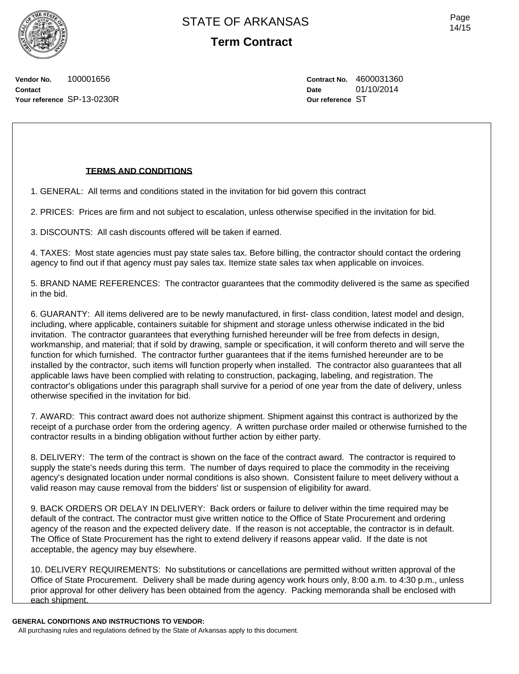Page 14/15

**Vendor No.** 100001656 **Contact Your reference** SP-13-0230R **Contract No.** 4600031360 **Date** 01/10/2014 **Our reference** ST

### **TERMS AND CONDITIONS**

1. GENERAL: All terms and conditions stated in the invitation for bid govern this contract

2. PRICES: Prices are firm and not subject to escalation, unless otherwise specified in the invitation for bid.

3. DISCOUNTS: All cash discounts offered will be taken if earned.

4. TAXES: Most state agencies must pay state sales tax. Before billing, the contractor should contact the ordering agency to find out if that agency must pay sales tax. Itemize state sales tax when applicable on invoices.

5. BRAND NAME REFERENCES: The contractor guarantees that the commodity delivered is the same as specified in the bid.

6. GUARANTY: All items delivered are to be newly manufactured, in first- class condition, latest model and design, including, where applicable, containers suitable for shipment and storage unless otherwise indicated in the bid invitation. The contractor guarantees that everything furnished hereunder will be free from defects in design, workmanship, and material; that if sold by drawing, sample or specification, it will conform thereto and will serve the function for which furnished. The contractor further guarantees that if the items furnished hereunder are to be installed by the contractor, such items will function properly when installed. The contractor also guarantees that all applicable laws have been complied with relating to construction, packaging, labeling, and registration. The contractor's obligations under this paragraph shall survive for a period of one year from the date of delivery, unless otherwise specified in the invitation for bid.

7. AWARD: This contract award does not authorize shipment. Shipment against this contract is authorized by the receipt of a purchase order from the ordering agency. A written purchase order mailed or otherwise furnished to the contractor results in a binding obligation without further action by either party.

8. DELIVERY: The term of the contract is shown on the face of the contract award. The contractor is required to supply the state's needs during this term. The number of days required to place the commodity in the receiving agency's designated location under normal conditions is also shown. Consistent failure to meet delivery without a valid reason may cause removal from the bidders' list or suspension of eligibility for award.

9. BACK ORDERS OR DELAY IN DELIVERY: Back orders or failure to deliver within the time required may be default of the contract. The contractor must give written notice to the Office of State Procurement and ordering agency of the reason and the expected delivery date. If the reason is not acceptable, the contractor is in default. The Office of State Procurement has the right to extend delivery if reasons appear valid. If the date is not acceptable, the agency may buy elsewhere.

10. DELIVERY REQUIREMENTS: No substitutions or cancellations are permitted without written approval of the Office of State Procurement. Delivery shall be made during agency work hours only, 8:00 a.m. to 4:30 p.m., unless prior approval for other delivery has been obtained from the agency. Packing memoranda shall be enclosed with each shipment.

#### **GENERAL CONDITIONS AND INSTRUCTIONS TO VENDOR:**